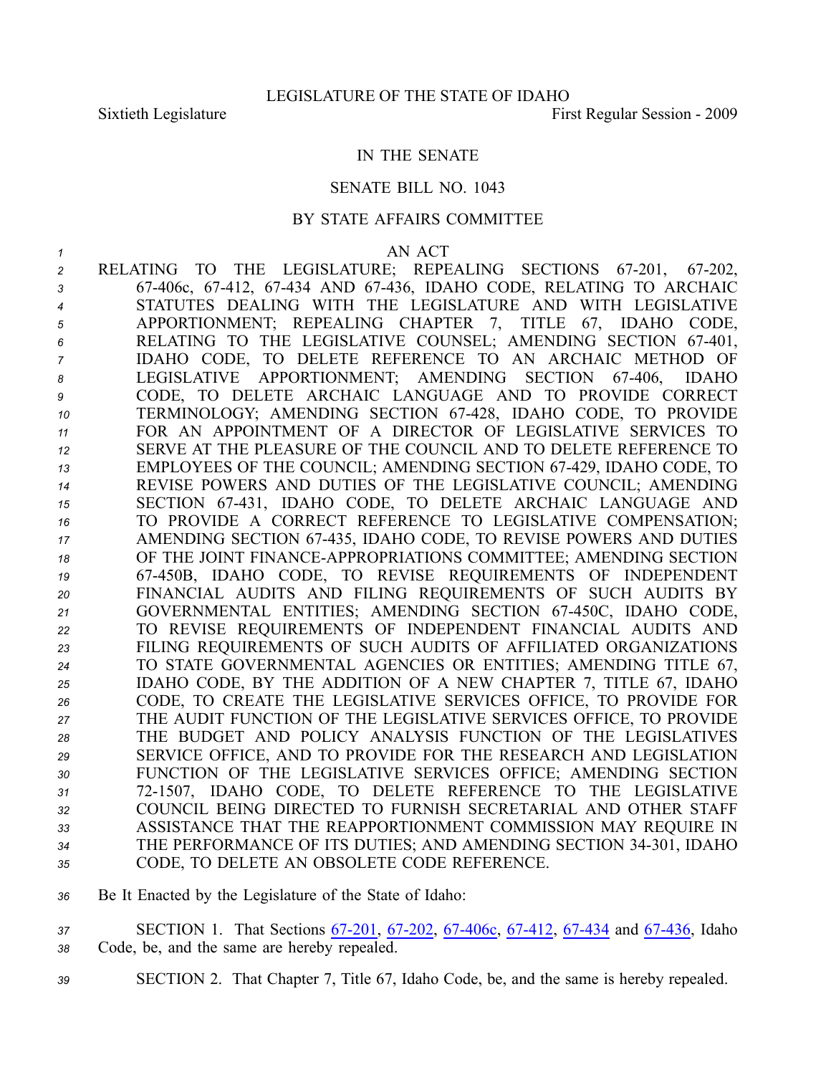## IN THE SENATE

### SENATE BILL NO. 1043

### BY STATE AFFAIRS COMMITTEE

#### *1* AN ACT

- 2 RELATING TO THE LEGISLATURE; REPEALING SECTIONS 67-201, 67-202, *<sup>3</sup>* 67406c, 67412, 67434 AND 67436, IDAHO CODE, RELATING TO ARCHAIC *<sup>4</sup>* STATUTES DEALING WITH THE LEGISLATURE AND WITH LEGISLATIVE *<sup>5</sup>* APPORTIONMENT; REPEALING CHAPTER 7, TITLE 67, IDAHO CODE, *<sup>6</sup>* RELATING TO THE LEGISLATIVE COUNSEL; AMENDING SECTION 67401, *<sup>7</sup>* IDAHO CODE, TO DELETE REFERENCE TO AN ARCHAIC METHOD OF *<sup>8</sup>* LEGISLATIVE APPORTIONMENT; AMENDING SECTION 67406, IDAHO *<sup>9</sup>* CODE, TO DELETE ARCHAIC LANGUAGE AND TO PROVIDE CORRECT *<sup>10</sup>* TERMINOLOGY; AMENDING SECTION 67428, IDAHO CODE, TO PROVIDE *<sup>11</sup>* FOR AN APPOINTMENT OF A DIRECTOR OF LEGISLATIVE SERVICES TO *<sup>12</sup>* SERVE AT THE PLEASURE OF THE COUNCIL AND TO DELETE REFERENCE TO *<sup>13</sup>* EMPLOYEES OF THE COUNCIL; AMENDING SECTION 67429, IDAHO CODE, TO *<sup>14</sup>* REVISE POWERS AND DUTIES OF THE LEGISLATIVE COUNCIL; AMENDING *<sup>15</sup>* SECTION 67431, IDAHO CODE, TO DELETE ARCHAIC LANGUAGE AND *<sup>16</sup>* TO PROVIDE A CORRECT REFERENCE TO LEGISLATIVE COMPENSATION; *<sup>17</sup>* AMENDING SECTION 67435, IDAHO CODE, TO REVISE POWERS AND DUTIES *<sup>18</sup>* OF THE JOINT FINANCEAPPROPRIATIONS COMMITTEE; AMENDING SECTION *<sup>19</sup>* 67450B, IDAHO CODE, TO REVISE REQUIREMENTS OF INDEPENDENT *<sup>20</sup>* FINANCIAL AUDITS AND FILING REQUIREMENTS OF SUCH AUDITS BY *<sup>21</sup>* GOVERNMENTAL ENTITIES; AMENDING SECTION 67450C, IDAHO CODE, *<sup>22</sup>* TO REVISE REQUIREMENTS OF INDEPENDENT FINANCIAL AUDITS AND *<sup>23</sup>* FILING REQUIREMENTS OF SUCH AUDITS OF AFFILIATED ORGANIZATIONS *<sup>24</sup>* TO STATE GOVERNMENTAL AGENCIES OR ENTITIES; AMENDING TITLE 67, *<sup>25</sup>* IDAHO CODE, BY THE ADDITION OF A NEW CHAPTER 7, TITLE 67, IDAHO *<sup>26</sup>* CODE, TO CREATE THE LEGISLATIVE SERVICES OFFICE, TO PROVIDE FOR *<sup>27</sup>* THE AUDIT FUNCTION OF THE LEGISLATIVE SERVICES OFFICE, TO PROVIDE *28* THE BUDGET AND POLICY ANALYSIS FUNCTION OF THE LEGISLATIVES *<sup>29</sup>* SERVICE OFFICE, AND TO PROVIDE FOR THE RESEARCH AND LEGISLATION *<sup>30</sup>* FUNCTION OF THE LEGISLATIVE SERVICES OFFICE; AMENDING SECTION *<sup>31</sup>* 721507, IDAHO CODE, TO DELETE REFERENCE TO THE LEGISLATIVE *32* COUNCIL BEING DIRECTED TO FURNISH SECRETARIAL AND OTHER STAFF *<sup>33</sup>* ASSISTANCE THAT THE REAPPORTIONMENT COMMISSION MAY REQUIRE IN *<sup>34</sup>* THE PERFORMANCE OF ITS DUTIES; AND AMENDING SECTION 34301, IDAHO *<sup>35</sup>* CODE, TO DELETE AN OBSOLETE CODE REFERENCE.
- *<sup>36</sup>* Be It Enacted by the Legislature of the State of Idaho:
- 37 **SECTION 1.** That Sections 67-201, 67-202, 67-406c, 67-412, 67-434 and 67-436, Idaho *<sup>38</sup>* Code, be, and the same are hereby repealed.
- *<sup>39</sup>* SECTION 2. That Chapter 7, Title 67, Idaho Code, be, and the same is hereby repealed.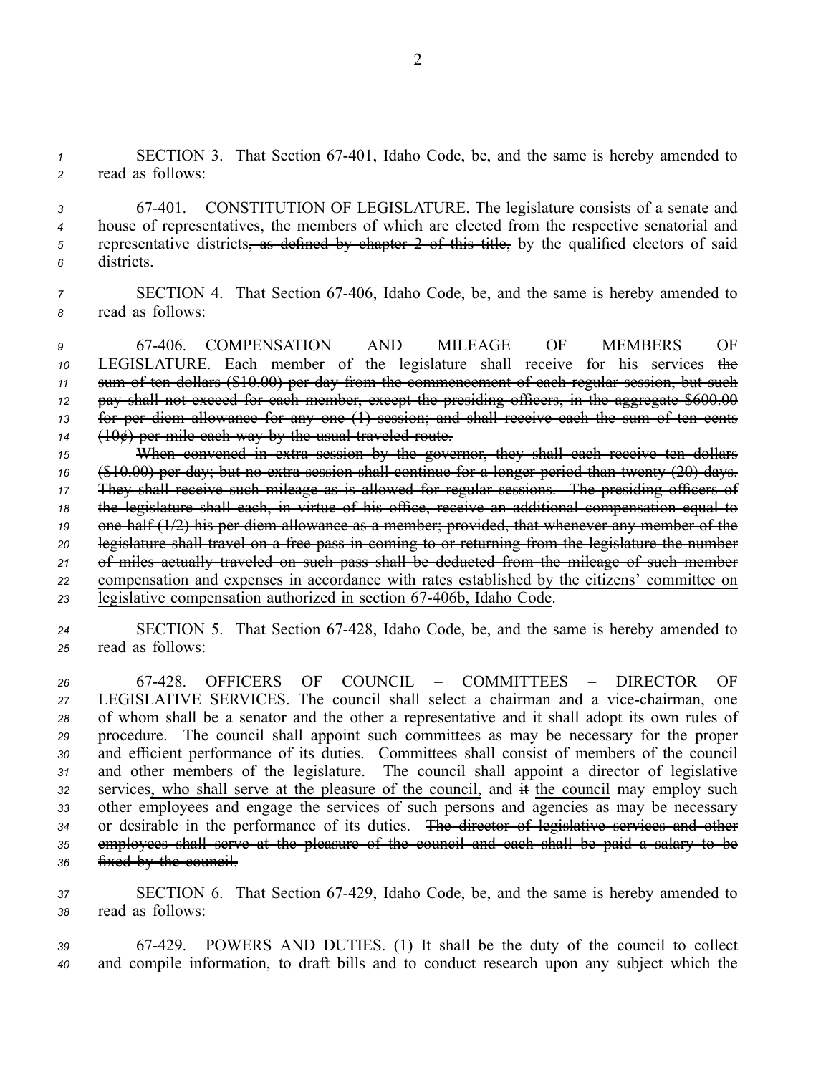*<sup>1</sup>* SECTION 3. That Section 67401, Idaho Code, be, and the same is hereby amended to *<sup>2</sup>* read as follows:

 67401. CONSTITUTION OF LEGISLATURE. The legislature consists of <sup>a</sup> senate and house of representatives, the members of which are elected from the respective senatorial and representative districts, as defined by chapter 2 of this title, by the qualified electors of said districts.

*7* SECTION 4. That Section 67-406, Idaho Code, be, and the same is hereby amended to *<sup>8</sup>* read as follows:

 67406. COMPENSATION AND MILEAGE OF MEMBERS OF LEGISLATURE. Each member of the legislature shall receive for his services the sum of ten dollars (\$10.00) per day from the commencement of each regular session, but such pay shall not exceed for each member, excep<sup>t</sup> the presiding officers, in the aggregate \$600.00 for per diem allowance for any one (1) session; and shall receive each the sum of ten cents (10¢) per mile each way by the usual traveled route.

 When convened in extra session by the governor, they shall each receive ten dollars (\$10.00) per day; but no extra session shall continue for <sup>a</sup> longer period than twenty (20) days. They shall receive such mileage as is allowed for regular sessions. The presiding officers of the legislature shall each, in virtue of his office, receive an additional compensation equal to onehalf (1/2) his per diem allowance as <sup>a</sup> member; provided, that whenever any member of the legislature shall travel on <sup>a</sup> free pass in coming to or returning from the legislature the number of miles actually traveled on such pass shall be deducted from the mileage of such member compensation and expenses in accordance with rates established by the citizens' committee on 23 legislative compensation authorized in section 67-406b, Idaho Code.

*<sup>24</sup>* SECTION 5. That Section 67428, Idaho Code, be, and the same is hereby amended to *<sup>25</sup>* read as follows:

 67428. OFFICERS OF COUNCIL – COMMITTEES – DIRECTOR OF LEGISLATIVE SERVICES. The council shall select <sup>a</sup> chairman and <sup>a</sup> vicechairman, one of whom shall be <sup>a</sup> senator and the other <sup>a</sup> representative and it shall adopt its own rules of procedure. The council shall appoint such committees as may be necessary for the proper and efficient performance of its duties. Committees shall consist of members of the council and other members of the legislature. The council shall appoint <sup>a</sup> director of legislative services, who shall serve at the pleasure of the council, and it the council may employ such other employees and engage the services of such persons and agencies as may be necessary or desirable in the performance of its duties. The director of legislative services and other employees shall serve at the pleasure of the council and each shall be paid <sup>a</sup> salary to be fixed by the council.

*<sup>37</sup>* SECTION 6. That Section 67429, Idaho Code, be, and the same is hereby amended to *<sup>38</sup>* read as follows:

*<sup>39</sup>* 67429. POWERS AND DUTIES. (1) It shall be the duty of the council to collect *<sup>40</sup>* and compile information, to draft bills and to conduct research upon any subject which the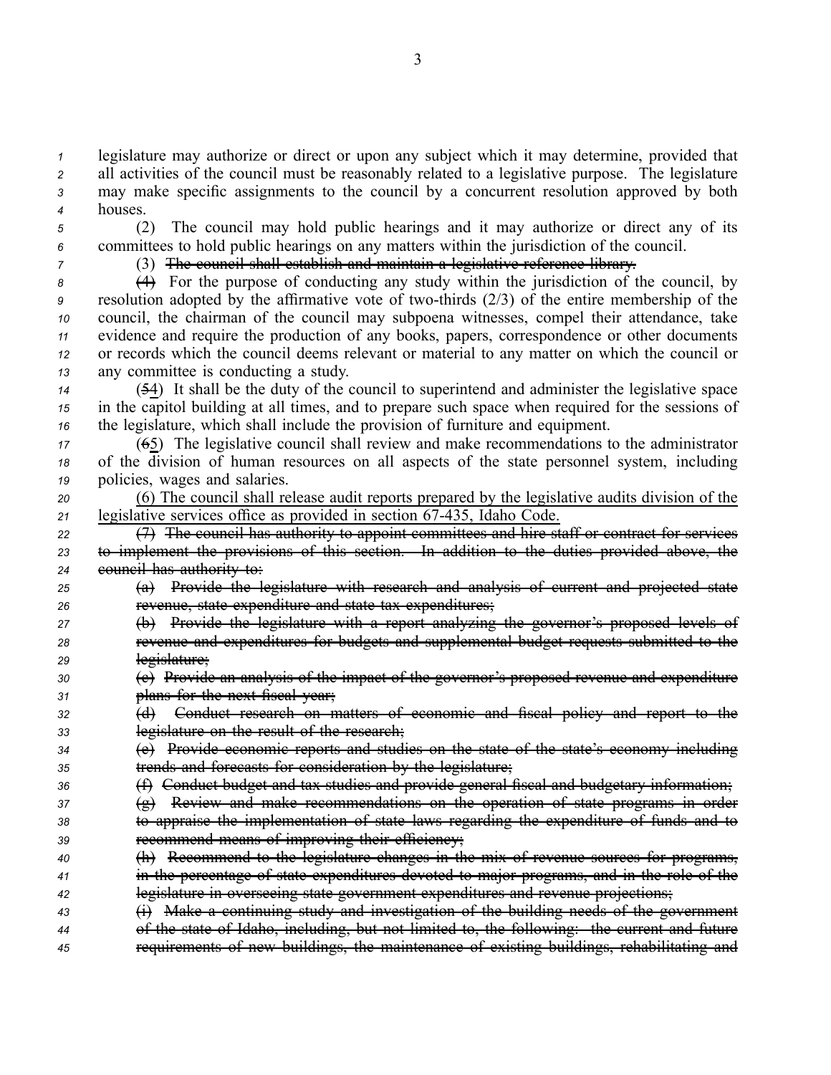legislature may authorize or direct or upon any subject which it may determine, provided that all activities of the council must be reasonably related to <sup>a</sup> legislative purpose. The legislature may make specific assignments to the council by <sup>a</sup> concurrent resolution approved by both *<sup>4</sup>* houses.

*<sup>5</sup>* (2) The council may hold public hearings and it may authorize or direct any of its *<sup>6</sup>* committees to hold public hearings on any matters within the jurisdiction of the council.

## *<sup>7</sup>* (3) The council shall establish and maintain <sup>a</sup> legislative reference library.

 (4) For the purpose of conducting any study within the jurisdiction of the council, by resolution adopted by the affirmative vote of two-thirds (2/3) of the entire membership of the council, the chairman of the council may subpoena witnesses, compel their attendance, take evidence and require the production of any books, papers, correspondence or other documents or records which the council deems relevant or material to any matter on which the council or any committee is conducting <sup>a</sup> study.

*<sup>14</sup>* (54) It shall be the duty of the council to superintend and administer the legislative space *<sup>15</sup>* in the capitol building at all times, and to prepare such space when required for the sessions of *<sup>16</sup>* the legislature, which shall include the provision of furniture and equipment.

*<sup>17</sup>* (65) The legislative council shall review and make recommendations to the administrator *<sup>18</sup>* of the division of human resources on all aspects of the state personnel system, including *<sup>19</sup>* policies, wages and salaries.

*<sup>20</sup>* (6) The council shall release audit reports prepared by the legislative audits division of the *<sup>21</sup>* legislative services office as provided in section 67435, Idaho Code.

- *<sup>22</sup>* (7) The council has authority to appoint committees and hire staff or contract for services *<sup>23</sup>* to implement the provisions of this section. In addition to the duties provided above, the *<sup>24</sup>* council has authority to:
- *<sup>25</sup>* (a) Provide the legislature with research and analysis of current and projected state *<sup>26</sup>* revenue, state expenditure and state tax expenditures;
- *<sup>27</sup>* (b) Provide the legislature with <sup>a</sup> repor<sup>t</sup> analyzing the governor's proposed levels of *<sup>28</sup>* revenue and expenditures for budgets and supplemental budget requests submitted to the
- *<sup>29</sup>* legislature;
- *<sup>30</sup>* (c) Provide an analysis of the impact of the governor's proposed revenue and expenditure *<sup>31</sup>* plans for the next fiscal year;
- *<sup>32</sup>* (d) Conduct research on matters of economic and fiscal policy and repor<sup>t</sup> to the *<sup>33</sup>* legislature on the result of the research;
- *<sup>34</sup>* (e) Provide economic reports and studies on the state of the state's economy including *<sup>35</sup>* trends and forecasts for consideration by the legislature;
- *<sup>36</sup>* (f) Conduct budget and tax studies and provide general fiscal and budgetary information;
- *<sup>37</sup>* (g) Review and make recommendations on the operation of state programs in order
- *<sup>38</sup>* to appraise the implementation of state laws regarding the expenditure of funds and to *<sup>39</sup>* recommend means of improving their efficiency;
- *<sup>40</sup>* (h) Recommend to the legislature changes in the mix of revenue sources for programs, *<sup>41</sup>* in the percentage of state expenditures devoted to major programs, and in the role of the *<sup>42</sup>* legislature in overseeing state governmen<sup>t</sup> expenditures and revenue projections;
- *<sup>43</sup>* (i) Make <sup>a</sup> continuing study and investigation of the building needs of the governmen<sup>t</sup> *<sup>44</sup>* of the state of Idaho, including, but not limited to, the following: the current and future
- *<sup>45</sup>* requirements of new buildings, the maintenance of existing buildings, rehabilitating and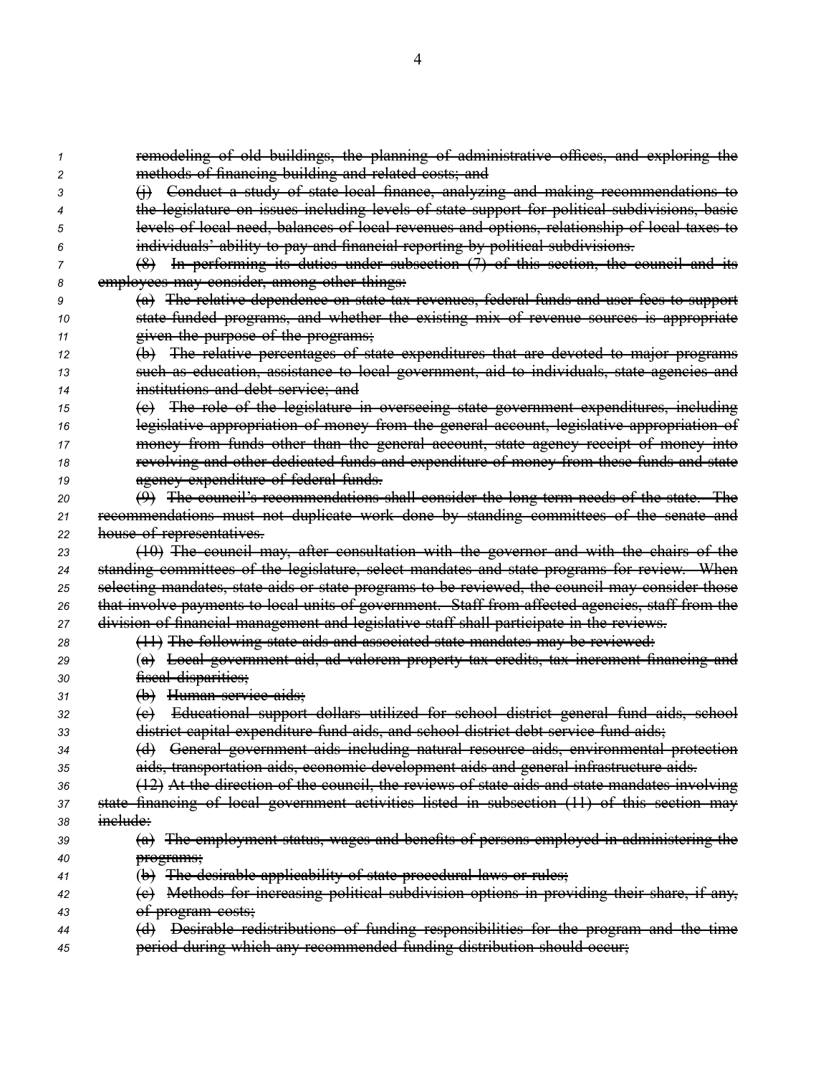|    | remodeling of old buildings, the planning of administrative offices, and exploring the           |
|----|--------------------------------------------------------------------------------------------------|
| 2  | methods of financing building and related costs; and                                             |
|    | Conduct a study of state local finance, analyzing and making recommendations to                  |
|    | the legislature on issues including levels of state support for political subdivisions, basic    |
|    | levels of local need, balances of local revenues and options, relationship of local taxes to     |
|    | individuals' ability to pay and financial reporting by political subdivisions.                   |
|    | (8) In performing its duties under subsection (7) of this section, the council and its           |
|    | employees may consider, among other things:                                                      |
| g  | (a) The relative dependence on state tax revenues, federal funds and user fees to support        |
| 10 | state funded programs, and whether the existing mix of revenue sources is appropriate            |
| 11 | given the purpose of the programs;                                                               |
| 12 | The relative percentages of state expenditures that are devoted to major programs<br>$\bigoplus$ |
| 13 | such as education, assistance to local government, aid to individuals, state agencies and        |
| 14 | institutions and debt service; and                                                               |
| 15 | (e) The role of the legislature in overseeing state government expenditures, including           |
| 16 | legislative appropriation of money from the general account, legislative appropriation of        |
| 17 | money from funds other than the general account, state agency receipt of money into              |
| 18 | revolving and other dedicated funds and expenditure of money from these funds and state          |
| 19 | agency expenditure of federal funds.                                                             |
| 20 | $(9)$ The council's recommendations shall consider the long term needs of the state. The         |
| 21 | recommendations must not duplicate work done by standing committees of the senate and            |
| 22 | house of representatives.                                                                        |
| 23 | (10) The council may, after consultation with the governor and with the chairs of the            |
| 24 | standing committees of the legislature, select mandates and state programs for review. When      |
| 25 | selecting mandates, state aids or state programs to be reviewed, the council may consider those  |
| 26 | that involve payments to local units of government. Staff from affected agencies, staff from the |
| 27 | division of financial management and legislative staff shall participate in the reviews.         |
| 28 | (11) The following state aids and associated state mandates may be reviewed:                     |
| 29 | (a) Local government aid, ad valorem property tax credits, tax increment financing and           |
| 30 | fiscal disparities;                                                                              |
| 31 | (b) Human service aids;                                                                          |
| 32 | Educational support dollars utilized for school district general fund aids, school<br>$\Theta$   |
| 33 | district capital expenditure fund aids, and school district debt service fund aids;              |
| 34 | (d) General government aids including natural resource aids, environmental protection            |
| 35 | aids, transportation aids, economic development aids and general infrastructure aids.            |
| 36 | (12) At the direction of the council, the reviews of state aids and state mandates involving     |
| 37 | state financing of local government activities listed in subsection (11) of this section may     |
| 38 | inelude:                                                                                         |
| 39 | (a) The employment status, wages and benefits of persons employed in administering the           |
| 40 | programs;                                                                                        |
| 41 | (b) The desirable applicability of state procedural laws or rules;                               |
| 42 | (e) Methods for increasing political subdivision options in providing their share, if any,       |
| 43 | <del>of program costs;</del>                                                                     |
| 44 | Desirable redistributions of funding responsibilities for the program and the time<br>$\Theta$   |
| 45 | period during which any recommended funding distribution should occur;                           |
|    |                                                                                                  |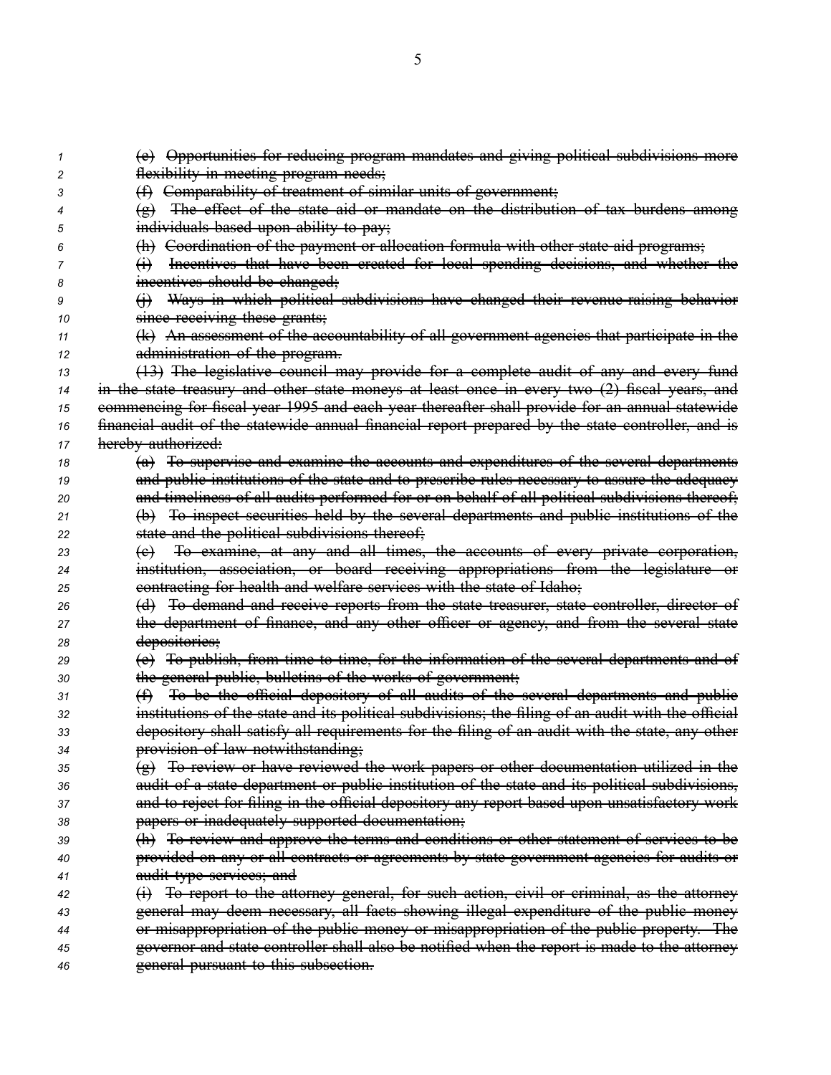(e) Opportunities for reducing program mandates and giving political subdivisions more flexibility in meeting program needs; (f) Comparability of treatment of similar units of government; (g) The effect of the state aid or mandate on the distribution of tax burdens among individuals based upon ability to pay; (h) Coordination of the paymen<sup>t</sup> or allocation formula with other state aid programs; (i) Incentives that have been created for local spending decisions, and whether the incentives should be changed; (i) Ways in which political subdivisions have changed their revenue raising behavior **since receiving these grants;**  (k) An assessment of the accountability of all governmen<sup>t</sup> agencies that participate in the administration of the program. (13) The legislative council may provide for <sup>a</sup> complete audit of any and every fund in the state treasury and other state moneys at least once in every two (2) fiscal years, and commencing for fiscal year 1995 and each year thereafter shall provide for an annual statewide financial audit of the statewide annual financial repor<sup>t</sup> prepared by the state controller, and is hereby authorized: (a) To supervise and examine the accounts and expenditures of the several departments **and public institutions of the state and to prescribe rules necessary to assure the adequacy**  and timeliness of all audits performed for or on behalf of all political subdivisions thereof; (b) To inspect securities held by the several departments and public institutions of the state and the political subdivisions thereof; (c) To examine, at any and all times, the accounts of every private corporation, institution, association, or board receiving appropriations from the legislature or contracting for health and welfare services with the state of Idaho; (d) To demand and receive reports from the state treasurer, state controller, director of the department of finance, and any other officer or agency, and from the several state depositories; (e) To publish, from time to time, for the information of the several departments and of the general public, bulletins of the works of government; (f) To be the official depository of all audits of the several departments and public institutions of the state and its political subdivisions; the filing of an audit with the official depository shall satisfy all requirements for the filing of an audit with the state, any other provision of law notwithstanding; (g) To review or have reviewed the work papers or other documentation utilized in the audit of <sup>a</sup> state department or public institution of the state and its political subdivisions, and to reject for filing in the official depository any repor<sup>t</sup> based upon unsatisfactory work papers or inadequately supported documentation; (h) To review and approve the terms and conditions or other statement of services to be provided on any or all contracts or agreements by state governmen<sup>t</sup> agencies for audits or audit type services; and (i) To repor<sup>t</sup> to the attorney general, for such action, civil or criminal, as the attorney general may deem necessary, all facts showing illegal expenditure of the public money or misappropriation of the public money or misappropriation of the public property. The governor and state controller shall also be notified when the repor<sup>t</sup> is made to the attorney general pursuan<sup>t</sup> to this subsection.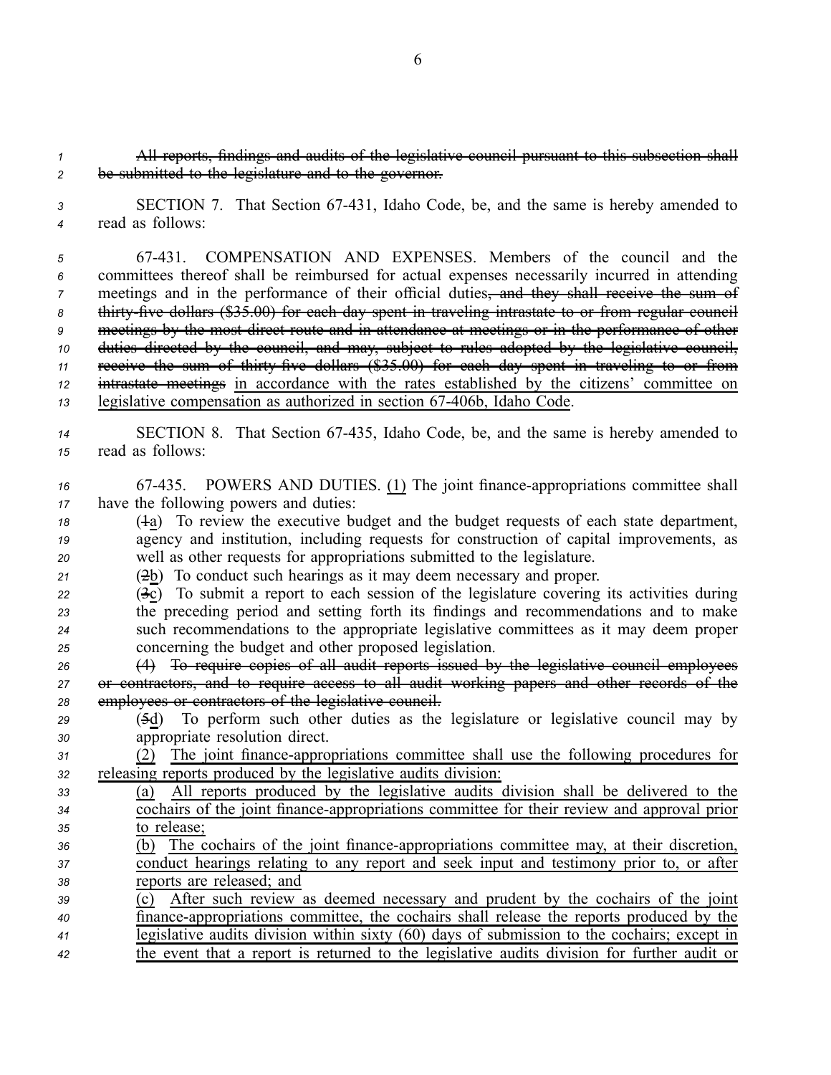*<sup>1</sup>* All reports, findings and audits of the legislative council pursuan<sup>t</sup> to this subsection shall *<sup>2</sup>* be submitted to the legislature and to the governor.

*<sup>3</sup>* SECTION 7. That Section 67431, Idaho Code, be, and the same is hereby amended to *<sup>4</sup>* read as follows:

 67431. COMPENSATION AND EXPENSES. Members of the council and the committees thereof shall be reimbursed for actual expenses necessarily incurred in attending meetings and in the performance of their official duties, and they shall receive the sum of 8 thirty five dollars (\$35.00) for each day spent in traveling intrastate to or from regular council meetings by the most direct route and in attendance at meetings or in the performance of other duties directed by the council, and may, subject to rules adopted by the legislative council, 11 receive the sum of thirty five dollars (\$35.00) for each day spent in traveling to or from intrastate meetings in accordance with the rates established by the citizens' committee on 13 legislative compensation as authorized in section 67-406b, Idaho Code.

*<sup>14</sup>* SECTION 8. That Section 67435, Idaho Code, be, and the same is hereby amended to *<sup>15</sup>* read as follows:

*<sup>16</sup>* 67435. POWERS AND DUTIES. (1) The joint financeappropriations committee shall *<sup>17</sup>* have the following powers and duties:

*<sup>18</sup>* (1a) To review the executive budget and the budget requests of each state department, *<sup>19</sup>* agency and institution, including requests for construction of capital improvements, as *<sup>20</sup>* well as other requests for appropriations submitted to the legislature.

*<sup>21</sup>* (2b) To conduct such hearings as it may deem necessary and proper.

 (3c) To submit <sup>a</sup> repor<sup>t</sup> to each session of the legislature covering its activities during the preceding period and setting forth its findings and recommendations and to make such recommendations to the appropriate legislative committees as it may deem proper concerning the budget and other proposed legislation.

*<sup>26</sup>* (4) To require copies of all audit reports issued by the legislative council employees *<sup>27</sup>* or contractors, and to require access to all audit working papers and other records of the *<sup>28</sup>* employees or contractors of the legislative council.

*<sup>29</sup>* (5d) To perform such other duties as the legislature or legislative council may by *<sup>30</sup>* appropriate resolution direct.

*<sup>31</sup>* (2) The joint financeappropriations committee shall use the following procedures for *<sup>32</sup>* releasing reports produced by the legislative audits division:

*<sup>33</sup>* (a) All reports produced by the legislative audits division shall be delivered to the 34 cochairs of the joint finance-appropriations committee for their review and approval prior *<sup>35</sup>* to release;

*<sup>36</sup>* (b) The cochairs of the joint financeappropriations committee may, at their discretion, *<sup>37</sup>* conduct hearings relating to any repor<sup>t</sup> and seek input and testimony prior to, or after *<sup>38</sup>* reports are released; and

 (c) After such review as deemed necessary and prudent by the cochairs of the joint financeappropriations committee, the cochairs shall release the reports produced by the legislative audits division within sixty (60) days of submission to the cochairs; excep<sup>t</sup> in the event that <sup>a</sup> repor<sup>t</sup> is returned to the legislative audits division for further audit or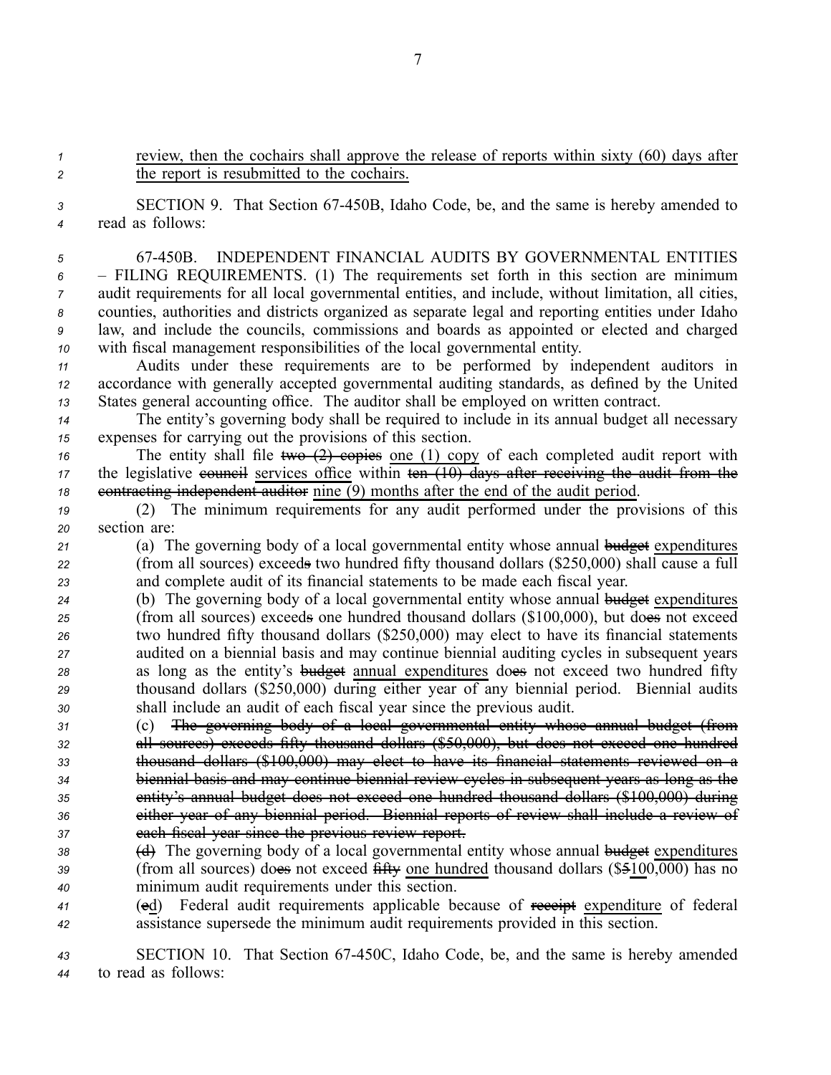*<sup>1</sup>* review, then the cochairs shall approve the release of reports within sixty (60) days after *<sup>2</sup>* the repor<sup>t</sup> is resubmitted to the cochairs.

*<sup>3</sup>* SECTION 9. That Section 67450B, Idaho Code, be, and the same is hereby amended to *<sup>4</sup>* read as follows:

 67450B. INDEPENDENT FINANCIAL AUDITS BY GOVERNMENTAL ENTITIES – FILING REQUIREMENTS. (1) The requirements set forth in this section are minimum audit requirements for all local governmental entities, and include, without limitation, all cities, counties, authorities and districts organized as separate legal and reporting entities under Idaho law, and include the councils, commissions and boards as appointed or elected and charged with fiscal managemen<sup>t</sup> responsibilities of the local governmental entity.

*<sup>11</sup>* Audits under these requirements are to be performed by independent auditors in *<sup>12</sup>* accordance with generally accepted governmental auditing standards, as defined by the United *<sup>13</sup>* States general accounting office. The auditor shall be employed on written contract.

*<sup>14</sup>* The entity's governing body shall be required to include in its annual budget all necessary *<sup>15</sup>* expenses for carrying out the provisions of this section.

*16* The entity shall file <del>two (2) copies</del> one (1) copy of each completed audit report with *17* the legislative eouncil services office within ten (10) days after receiving the audit from the 18 contracting independent auditor nine (9) months after the end of the audit period.

*<sup>19</sup>* (2) The minimum requirements for any audit performed under the provisions of this *<sup>20</sup>* section are:

*<sup>21</sup>* (a) The governing body of <sup>a</sup> local governmental entity whose annual budget expenditures *<sup>22</sup>* (from all sources) exceeds two hundred fifty thousand dollars (\$250,000) shall cause <sup>a</sup> full *<sup>23</sup>* and complete audit of its financial statements to be made each fiscal year.

- *<sup>24</sup>* (b) The governing body of <sup>a</sup> local governmental entity whose annual budget expenditures *<sup>25</sup>* (from all sources) exceeds one hundred thousand dollars (\$100,000), but does not exceed *<sup>26</sup>* two hundred fifty thousand dollars (\$250,000) may elect to have its financial statements *<sup>27</sup>* audited on <sup>a</sup> biennial basis and may continue biennial auditing cycles in subsequent years *<sup>28</sup>* as long as the entity's budget annual expenditures does not exceed two hundred fifty *<sup>29</sup>* thousand dollars (\$250,000) during either year of any biennial period. Biennial audits *<sup>30</sup>* shall include an audit of each fiscal year since the previous audit.
- *<sup>31</sup>* (c) The governing body of <sup>a</sup> local governmental entity whose annual budget (from *<sup>32</sup>* all sources) exceeds fifty thousand dollars (\$50,000), but does not exceed one hundred *<sup>33</sup>* thousand dollars (\$100,000) may elect to have its financial statements reviewed on <sup>a</sup> *<sup>34</sup>* biennial basis and may continue biennial review cycles in subsequent years as long as the *<sup>35</sup>* entity's annual budget does not exceed one hundred thousand dollars (\$100,000) during *<sup>36</sup>* either year of any biennial period. Biennial reports of review shall include <sup>a</sup> review of *<sup>37</sup>* each fiscal year since the previous review report.
- 38 (d) The governing body of a local governmental entity whose annual budget expenditures *<sup>39</sup>* (from all sources) does not exceed fifty one hundred thousand dollars (\$5100,000) has no *<sup>40</sup>* minimum audit requirements under this section.
- *<sup>41</sup>* (ed) Federal audit requirements applicable because of receipt expenditure of federal *<sup>42</sup>* assistance supersede the minimum audit requirements provided in this section.

*<sup>43</sup>* SECTION 10. That Section 67450C, Idaho Code, be, and the same is hereby amended *<sup>44</sup>* to read as follows: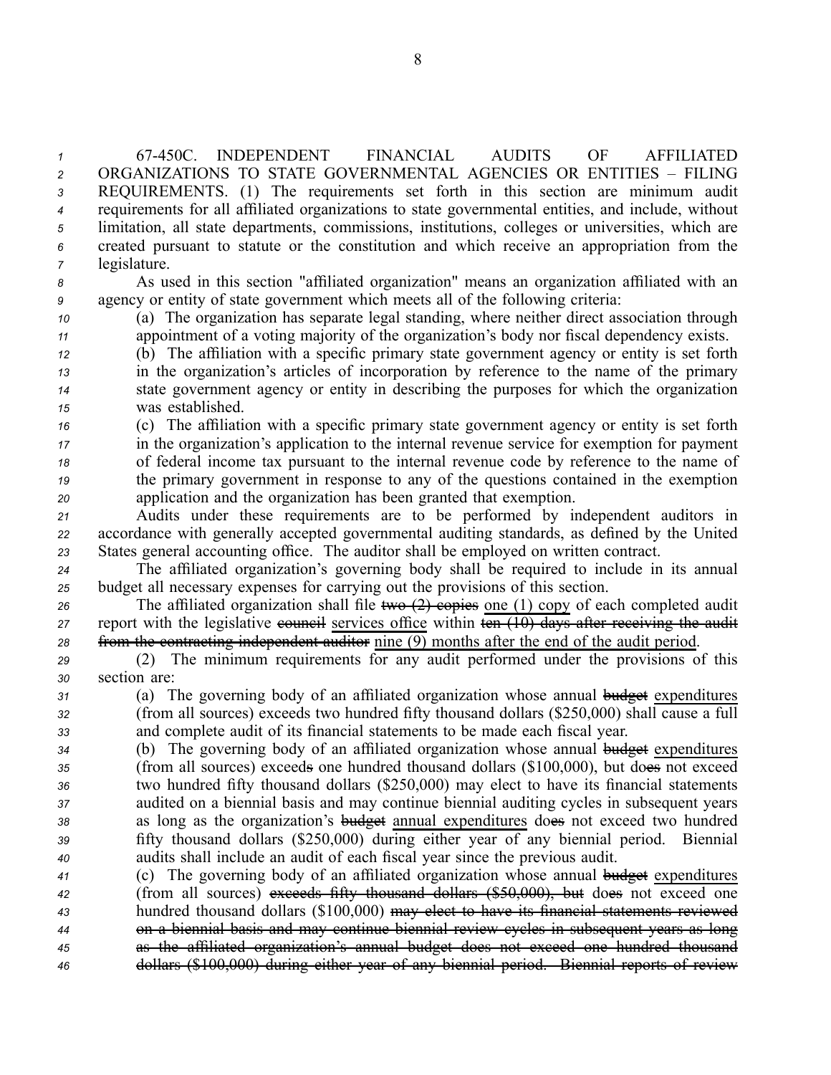67450C. INDEPENDENT FINANCIAL AUDITS OF AFFILIATED ORGANIZATIONS TO STATE GOVERNMENTAL AGENCIES OR ENTITIES – FILING REQUIREMENTS. (1) The requirements set forth in this section are minimum audit requirements for all affiliated organizations to state governmental entities, and include, without limitation, all state departments, commissions, institutions, colleges or universities, which are created pursuan<sup>t</sup> to statute or the constitution and which receive an appropriation from the legislature.

*<sup>8</sup>* As used in this section "affiliated organization" means an organization affiliated with an *<sup>9</sup>* agency or entity of state governmen<sup>t</sup> which meets all of the following criteria:

*<sup>10</sup>* (a) The organization has separate legal standing, where neither direct association through *<sup>11</sup>* appointment of <sup>a</sup> voting majority of the organization's body nor fiscal dependency exists.

 (b) The affiliation with <sup>a</sup> specific primary state governmen<sup>t</sup> agency or entity is set forth in the organization's articles of incorporation by reference to the name of the primary state governmen<sup>t</sup> agency or entity in describing the purposes for which the organization was established.

 (c) The affiliation with <sup>a</sup> specific primary state governmen<sup>t</sup> agency or entity is set forth in the organization's application to the internal revenue service for exemption for paymen<sup>t</sup> of federal income tax pursuan<sup>t</sup> to the internal revenue code by reference to the name of the primary governmen<sup>t</sup> in response to any of the questions contained in the exemption application and the organization has been granted that exemption.

*<sup>21</sup>* Audits under these requirements are to be performed by independent auditors in *<sup>22</sup>* accordance with generally accepted governmental auditing standards, as defined by the United *<sup>23</sup>* States general accounting office. The auditor shall be employed on written contract.

*<sup>24</sup>* The affiliated organization's governing body shall be required to include in its annual *<sup>25</sup>* budget all necessary expenses for carrying out the provisions of this section.

26 The affiliated organization shall file two (2) copies one (1) copy of each completed audit *27* report with the legislative **council** services office within  $\overline{\text{ten (10)}}$  days after receiving the audit *<sup>28</sup>* from the contracting independent auditor nine (9) months after the end of the audit period.

*<sup>29</sup>* (2) The minimum requirements for any audit performed under the provisions of this *<sup>30</sup>* section are:

*<sup>31</sup>* (a) The governing body of an affiliated organization whose annual budget expenditures *<sup>32</sup>* (from all sources) exceeds two hundred fifty thousand dollars (\$250,000) shall cause <sup>a</sup> full *<sup>33</sup>* and complete audit of its financial statements to be made each fiscal year.

 (b) The governing body of an affiliated organization whose annual budget expenditures (from all sources) exceeds one hundred thousand dollars (\$100,000), but does not exceed two hundred fifty thousand dollars (\$250,000) may elect to have its financial statements audited on <sup>a</sup> biennial basis and may continue biennial auditing cycles in subsequent years as long as the organization's budget annual expenditures does not exceed two hundred fifty thousand dollars (\$250,000) during either year of any biennial period. Biennial audits shall include an audit of each fiscal year since the previous audit.

 (c) The governing body of an affiliated organization whose annual budget expenditures (from all sources) exceeds fifty thousand dollars (\$50,000), but does not exceed one hundred thousand dollars (\$100,000) may elect to have its financial statements reviewed on <sup>a</sup> biennial basis and may continue biennial review cycles in subsequent years as long as the affiliated organization's annual budget does not exceed one hundred thousand dollars (\$100,000) during either year of any biennial period. Biennial reports of review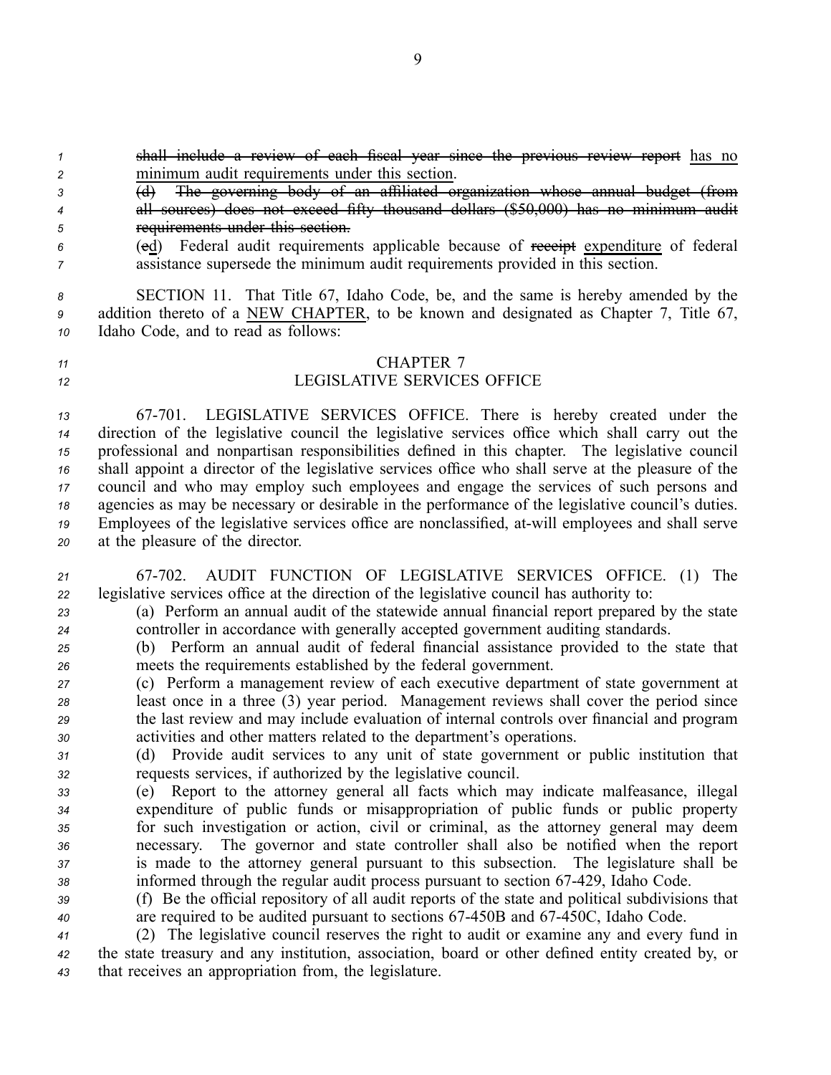- *<sup>3</sup>* (d) The governing body of an affiliated organization whose annual budget (from *<sup>4</sup>* all sources) does not exceed fifty thousand dollars (\$50,000) has no minimum audit *<sup>5</sup>* requirements under this section.
- *<sup>6</sup>* (ed) Federal audit requirements applicable because of receipt expenditure of federal *<sup>7</sup>* assistance supersede the minimum audit requirements provided in this section.

*<sup>8</sup>* SECTION 11. That Title 67, Idaho Code, be, and the same is hereby amended by the *<sup>9</sup>* addition thereto of <sup>a</sup> NEW CHAPTER, to be known and designated as Chapter 7, Title 67, *<sup>10</sup>* Idaho Code, and to read as follows:

## *<sup>11</sup>* CHAPTER 7

# *<sup>12</sup>* LEGISLATIVE SERVICES OFFICE

 67701. LEGISLATIVE SERVICES OFFICE. There is hereby created under the direction of the legislative council the legislative services office which shall carry out the professional and nonpartisan responsibilities defined in this chapter. The legislative council shall appoint <sup>a</sup> director of the legislative services office who shall serve at the pleasure of the council and who may employ such employees and engage the services of such persons and agencies as may be necessary or desirable in the performance of the legislative council's duties. Employees of the legislative services office are nonclassified, atwill employees and shall serve at the pleasure of the director.

*<sup>21</sup>* 67702. AUDIT FUNCTION OF LEGISLATIVE SERVICES OFFICE. (1) The *<sup>22</sup>* legislative services office at the direction of the legislative council has authority to:

*<sup>23</sup>* (a) Perform an annual audit of the statewide annual financial repor<sup>t</sup> prepared by the state *<sup>24</sup>* controller in accordance with generally accepted governmen<sup>t</sup> auditing standards.

*<sup>25</sup>* (b) Perform an annual audit of federal financial assistance provided to the state that *<sup>26</sup>* meets the requirements established by the federal government.

 (c) Perform <sup>a</sup> managemen<sup>t</sup> review of each executive department of state governmen<sup>t</sup> at least once in <sup>a</sup> three (3) year period. Management reviews shall cover the period since the last review and may include evaluation of internal controls over financial and program activities and other matters related to the department's operations.

*<sup>31</sup>* (d) Provide audit services to any unit of state governmen<sup>t</sup> or public institution that *<sup>32</sup>* requests services, if authorized by the legislative council.

- *<sup>33</sup>* (e) Report to the attorney general all facts which may indicate malfeasance, illegal *<sup>34</sup>* expenditure of public funds or misappropriation of public funds or public property *<sup>35</sup>* for such investigation or action, civil or criminal, as the attorney general may deem *<sup>36</sup>* necessary. The governor and state controller shall also be notified when the repor<sup>t</sup> *<sup>37</sup>* is made to the attorney general pursuan<sup>t</sup> to this subsection. The legislature shall be 38 informed through the regular audit process pursuant to section 67-429, Idaho Code.
- *<sup>39</sup>* (f) Be the official repository of all audit reports of the state and political subdivisions that *<sup>40</sup>* are required to be audited pursuan<sup>t</sup> to sections 67450B and 67450C, Idaho Code.
- *<sup>41</sup>* (2) The legislative council reserves the right to audit or examine any and every fund in *<sup>42</sup>* the state treasury and any institution, association, board or other defined entity created by, or *<sup>43</sup>* that receives an appropriation from, the legislature.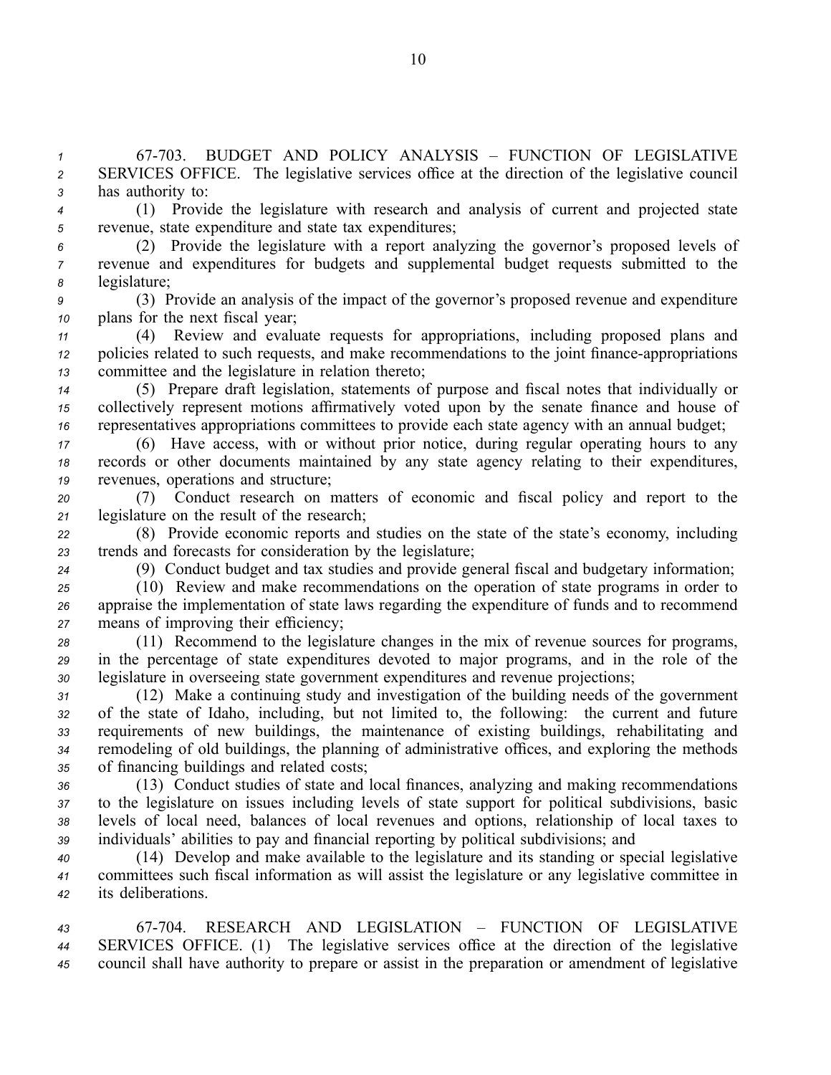*<sup>1</sup>* 67703. BUDGET AND POLICY ANALYSIS – FUNCTION OF LEGISLATIVE *<sup>2</sup>* SERVICES OFFICE. The legislative services office at the direction of the legislative council *<sup>3</sup>* has authority to:

*<sup>4</sup>* (1) Provide the legislature with research and analysis of current and projected state *<sup>5</sup>* revenue, state expenditure and state tax expenditures;

- *<sup>6</sup>* (2) Provide the legislature with <sup>a</sup> repor<sup>t</sup> analyzing the governor's proposed levels of *<sup>7</sup>* revenue and expenditures for budgets and supplemental budget requests submitted to the *<sup>8</sup>* legislature;
- *<sup>9</sup>* (3) Provide an analysis of the impact of the governor's proposed revenue and expenditure *<sup>10</sup>* plans for the next fiscal year;

*<sup>11</sup>* (4) Review and evaluate requests for appropriations, including proposed plans and *12* policies related to such requests, and make recommendations to the joint finance-appropriations *<sup>13</sup>* committee and the legislature in relation thereto;

*<sup>14</sup>* (5) Prepare draft legislation, statements of purpose and fiscal notes that individually or *<sup>15</sup>* collectively represen<sup>t</sup> motions affirmatively voted upon by the senate finance and house of *<sup>16</sup>* representatives appropriations committees to provide each state agency with an annual budget;

*<sup>17</sup>* (6) Have access, with or without prior notice, during regular operating hours to any *<sup>18</sup>* records or other documents maintained by any state agency relating to their expenditures, *<sup>19</sup>* revenues, operations and structure;

*<sup>20</sup>* (7) Conduct research on matters of economic and fiscal policy and repor<sup>t</sup> to the *<sup>21</sup>* legislature on the result of the research;

*<sup>22</sup>* (8) Provide economic reports and studies on the state of the state's economy, including *<sup>23</sup>* trends and forecasts for consideration by the legislature;

*<sup>24</sup>* (9) Conduct budget and tax studies and provide general fiscal and budgetary information;

*<sup>25</sup>* (10) Review and make recommendations on the operation of state programs in order to *<sup>26</sup>* appraise the implementation of state laws regarding the expenditure of funds and to recommend *<sup>27</sup>* means of improving their efficiency;

*<sup>28</sup>* (11) Recommend to the legislature changes in the mix of revenue sources for programs, *<sup>29</sup>* in the percentage of state expenditures devoted to major programs, and in the role of the *<sup>30</sup>* legislature in overseeing state governmen<sup>t</sup> expenditures and revenue projections;

 (12) Make <sup>a</sup> continuing study and investigation of the building needs of the governmen<sup>t</sup> of the state of Idaho, including, but not limited to, the following: the current and future requirements of new buildings, the maintenance of existing buildings, rehabilitating and remodeling of old buildings, the planning of administrative offices, and exploring the methods of financing buildings and related costs;

 (13) Conduct studies of state and local finances, analyzing and making recommendations to the legislature on issues including levels of state suppor<sup>t</sup> for political subdivisions, basic levels of local need, balances of local revenues and options, relationship of local taxes to individuals' abilities to pay and financial reporting by political subdivisions; and

*<sup>40</sup>* (14) Develop and make available to the legislature and its standing or special legislative *<sup>41</sup>* committees such fiscal information as will assist the legislature or any legislative committee in *<sup>42</sup>* its deliberations.

*43* 67704. RESEARCH AND LEGISLATION – FUNCTION OF LEGISLATIVE *<sup>44</sup>* SERVICES OFFICE. (1) The legislative services office at the direction of the legislative *<sup>45</sup>* council shall have authority to prepare or assist in the preparation or amendment of legislative